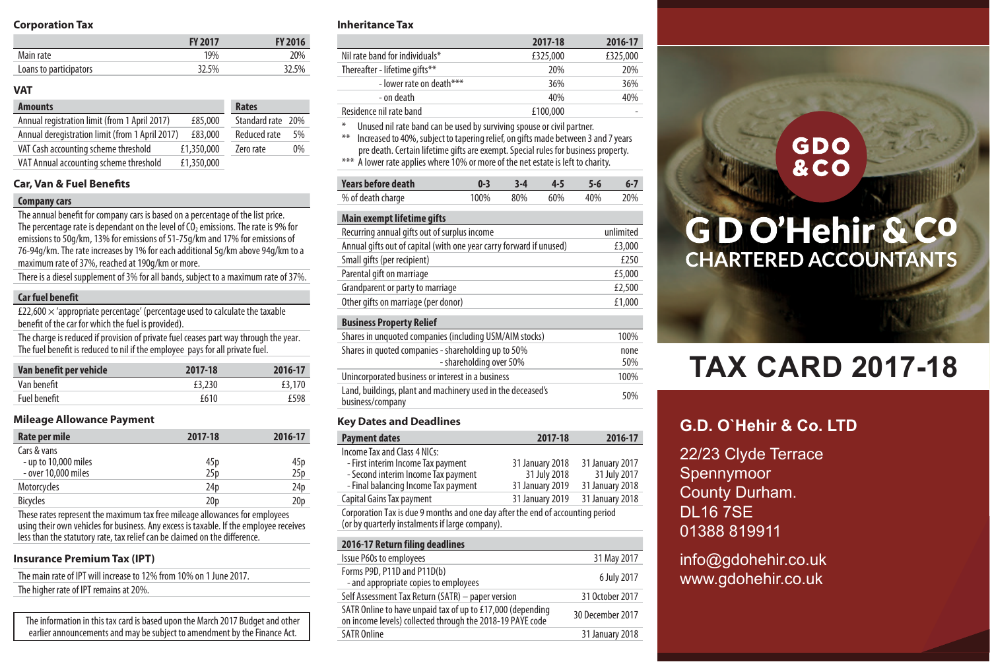# **Corporation Tax**

|                        | FY 2017 | <b>FY 2016</b> |
|------------------------|---------|----------------|
| Main rate              | 19%     | 20%            |
| Loans to participators | 32.5%   | 32.5%          |

#### **VAT**

| <b>Amounts</b>                                  |            | Rates             |    |
|-------------------------------------------------|------------|-------------------|----|
| Annual registration limit (from 1 April 2017)   | £85,000    | Standard rate 20% |    |
| Annual deregistration limit (from 1 April 2017) | £83,000    | Reduced rate      | 5% |
| VAT Cash accounting scheme threshold            | £1,350,000 | Zero rate         | 0% |
| VAT Annual accounting scheme threshold          | £1,350,000 |                   |    |

# **Car, Van & Fuel Benefits**

#### **Companycars**

The annual benefit for company cars is based on a percentage of the list price. The percentage rate is dependant on the level of  $\dot{CO}_2$  emissions. The rate is 9% for emissions to 50g/km, 13% for emissions of 51-75g/km and 17% for emissions of 76-94g/km. The rate increases by 1% for each additional 5g/km above 94g/km toa maximum rate of 37%, reached at 190g/km or more.

There is a diesel supplement of 3% for all bands, subject to a maximum rate of 37%.

# **Car fuel benefit**

£22,600  $\times$  'appropriate percentage' (percentage used to calculate the taxable benefit of the car for which the fuel is provided).

The charge is reduced if provision of private fuel ceases part way through the year. The fuel benefit is reduced to nil if the employee pays for all private fuel.

| Van benefit per vehicle | 2017-18 | 2016-17 |
|-------------------------|---------|---------|
| Van benefit             | £3.230  | £3,170  |
| Fuel benefit            | £610    | f598    |

#### **Mileage Allowance Payment**

| Rate per mile        | 2017-18         | 2016-17         |
|----------------------|-----------------|-----------------|
| Cars & vans          |                 |                 |
| - up to 10,000 miles | 45 <sub>p</sub> | 45 p            |
| - over 10,000 miles  | 25p             | 25p             |
| Motorcycles          | 24 <sub>D</sub> | 24 <sub>D</sub> |
| <b>Bicycles</b>      | 20 <sub>D</sub> | 20 <sub>p</sub> |

These rates represent the maximum tax free mileage allowances for employees using their own vehicles for business. Any excess is taxable. If the employee receives less than the statutory rate, taxrelief can be claimed on the difference.

## **Insurance Premium Tax (IPT)**

The main rate of IPT will increase to 12% from 10% on 1 June 2017. The higher rate of IPT remains at 20%.

The information in this tax card is based upon the March 2017 Budget and other earlier announcements and may be subiect to amendment by the Finance Act.

#### **Inheritance Tax**

|                                                                                                                                                                                                                                                                | 2017-18  | 2016-17  |
|----------------------------------------------------------------------------------------------------------------------------------------------------------------------------------------------------------------------------------------------------------------|----------|----------|
| Nil rate band for individuals*                                                                                                                                                                                                                                 | £325,000 | £325.000 |
| Thereafter - lifetime gifts**                                                                                                                                                                                                                                  | 20%      | 20%      |
| - lower rate on death***                                                                                                                                                                                                                                       | 36%      | 36%      |
| - on death                                                                                                                                                                                                                                                     | 40%      | 40%      |
| Residence nil rate band                                                                                                                                                                                                                                        | £100.000 |          |
| ⋇<br>Unused nil rate band can be used by surviving spouse or civil partner.<br>$**$<br>Increased to 40%, subject to tapering relief, on gifts made between 3 and 7 years<br>pre death. Certain lifetime gifts are exempt. Special rules for business property. |          |          |

A lower rate applies where 10% or more of the net estate is left to charity.

| Years before death | $0 - 3$ | $3-4$ $4-5$ $5-6$    |  | - 6-7 |
|--------------------|---------|----------------------|--|-------|
| % of death charge  |         | 100% 80% 60% 40% 20% |  |       |

# **Main exempt lifetime gifts**

| Recurring annual gifts out of surplus income                                    | unlimited |
|---------------------------------------------------------------------------------|-----------|
| Annual gifts out of capital (with one year carry forward if unused)             | £3,000    |
| Small gifts (per recipient)                                                     | £250      |
| Parental gift on marriage                                                       | £5,000    |
| Grandparent or party to marriage                                                | £2,500    |
| Other gifts on marriage (per donor)                                             | £1.000    |
| <b>Business Property Relief</b>                                                 |           |
| Shares in unquoted companies (including USM/AIM stocks)                         | 100%      |
| Shares in quoted companies - shareholding up to 50%                             | none      |
| - shareholding over 50%                                                         | 50%       |
| Unincorporated business or interest in a business                               | 100%      |
| Land, buildings, plant and machinery used in the deceased's<br>business/company | 50%       |
|                                                                                 |           |

# **Key Dates and Deadlines**

| <b>Payment dates</b>                                                                                                              | 2017-18         | 2016-17         |  |
|-----------------------------------------------------------------------------------------------------------------------------------|-----------------|-----------------|--|
| Income Tax and Class 4 NICs:                                                                                                      |                 |                 |  |
| - First interim Income Tax payment                                                                                                | 31 January 2018 | 31 January 2017 |  |
| - Second interim Income Tax payment                                                                                               | 31 July 2018    | 31 July 2017    |  |
| - Final balancing Income Tax payment                                                                                              | 31 January 2019 | 31 January 2018 |  |
| Capital Gains Tax payment                                                                                                         | 31 January 2019 | 31 January 2018 |  |
| Corporation Tax is due 9 months and one day after the end of accounting period<br>(or by quarterly instalments if large company). |                 |                 |  |
|                                                                                                                                   |                 |                 |  |

| 2016-17 Return filing deadlines                                                                                         |                  |
|-------------------------------------------------------------------------------------------------------------------------|------------------|
| Issue P60s to employees                                                                                                 | 31 May 2017      |
| Forms P9D, P11D and P11D(b)<br>- and appropriate copies to employees                                                    | 6 July 2017      |
| Self Assessment Tax Return (SATR) - paper version                                                                       | 31 October 2017  |
| SATR Online to have unpaid tax of up to £17,000 (depending<br>on income levels) collected through the 2018-19 PAYE code | 30 December 2017 |
| <b>SATR Online</b>                                                                                                      | 31 January 2018  |

# **GDO &CO**

# **GDO'Hehir & CO CHARTERED ACCOUNTANTS**

# **TAX CARD 2017-18**

# **G.D. O`Hehir & Co. LTD**

22/23 Clyde Terrace Spennymoor County Durham. DL16 7SE 01388 819911

info@gdohehir.co.uk www.gdohehir.co.uk